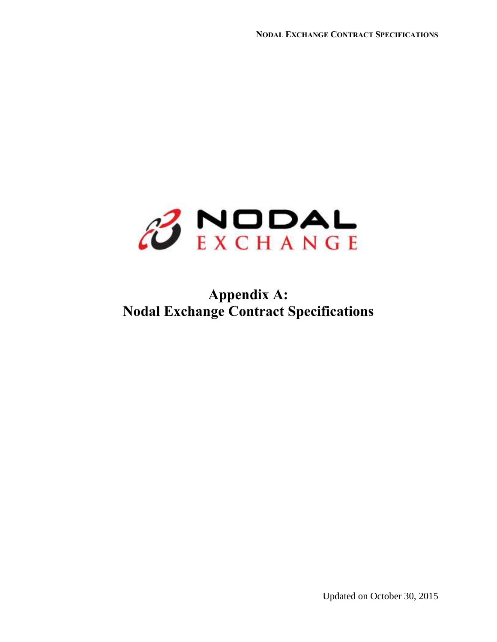

## **Appendix A: Nodal Exchange Contract Specifications**

Updated on October 30, 2015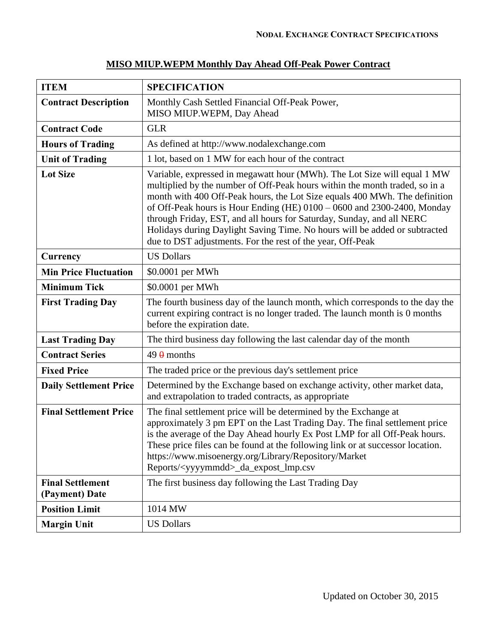| <b>ITEM</b>                               | <b>SPECIFICATION</b>                                                                                                                                                                                                                                                                                                                                                                                                                                                                                                                    |
|-------------------------------------------|-----------------------------------------------------------------------------------------------------------------------------------------------------------------------------------------------------------------------------------------------------------------------------------------------------------------------------------------------------------------------------------------------------------------------------------------------------------------------------------------------------------------------------------------|
| <b>Contract Description</b>               | Monthly Cash Settled Financial Off-Peak Power,<br>MISO MIUP.WEPM, Day Ahead                                                                                                                                                                                                                                                                                                                                                                                                                                                             |
| <b>Contract Code</b>                      | <b>GLR</b>                                                                                                                                                                                                                                                                                                                                                                                                                                                                                                                              |
| <b>Hours of Trading</b>                   | As defined at http://www.nodalexchange.com                                                                                                                                                                                                                                                                                                                                                                                                                                                                                              |
| <b>Unit of Trading</b>                    | 1 lot, based on 1 MW for each hour of the contract                                                                                                                                                                                                                                                                                                                                                                                                                                                                                      |
| <b>Lot Size</b>                           | Variable, expressed in megawatt hour (MWh). The Lot Size will equal 1 MW<br>multiplied by the number of Off-Peak hours within the month traded, so in a<br>month with 400 Off-Peak hours, the Lot Size equals 400 MWh. The definition<br>of Off-Peak hours is Hour Ending (HE) $0100 - 0600$ and 2300-2400, Monday<br>through Friday, EST, and all hours for Saturday, Sunday, and all NERC<br>Holidays during Daylight Saving Time. No hours will be added or subtracted<br>due to DST adjustments. For the rest of the year, Off-Peak |
| Currency                                  | <b>US Dollars</b>                                                                                                                                                                                                                                                                                                                                                                                                                                                                                                                       |
| <b>Min Price Fluctuation</b>              | \$0.0001 per MWh                                                                                                                                                                                                                                                                                                                                                                                                                                                                                                                        |
| <b>Minimum Tick</b>                       | \$0.0001 per MWh                                                                                                                                                                                                                                                                                                                                                                                                                                                                                                                        |
| <b>First Trading Day</b>                  | The fourth business day of the launch month, which corresponds to the day the<br>current expiring contract is no longer traded. The launch month is 0 months<br>before the expiration date.                                                                                                                                                                                                                                                                                                                                             |
| <b>Last Trading Day</b>                   | The third business day following the last calendar day of the month                                                                                                                                                                                                                                                                                                                                                                                                                                                                     |
| <b>Contract Series</b>                    | $49 \theta$ months                                                                                                                                                                                                                                                                                                                                                                                                                                                                                                                      |
| <b>Fixed Price</b>                        | The traded price or the previous day's settlement price                                                                                                                                                                                                                                                                                                                                                                                                                                                                                 |
| <b>Daily Settlement Price</b>             | Determined by the Exchange based on exchange activity, other market data,<br>and extrapolation to traded contracts, as appropriate                                                                                                                                                                                                                                                                                                                                                                                                      |
| <b>Final Settlement Price</b>             | The final settlement price will be determined by the Exchange at<br>approximately 3 pm EPT on the Last Trading Day. The final settlement price<br>is the average of the Day Ahead hourly Ex Post LMP for all Off-Peak hours.<br>These price files can be found at the following link or at successor location.<br>https://www.misoenergy.org/Library/Repository/Market<br>Reports/ <yyyymmdd>_da_expost_lmp.csv</yyyymmdd>                                                                                                              |
| <b>Final Settlement</b><br>(Payment) Date | The first business day following the Last Trading Day                                                                                                                                                                                                                                                                                                                                                                                                                                                                                   |
| <b>Position Limit</b>                     | 1014 MW                                                                                                                                                                                                                                                                                                                                                                                                                                                                                                                                 |
| <b>Margin Unit</b>                        | <b>US Dollars</b>                                                                                                                                                                                                                                                                                                                                                                                                                                                                                                                       |

## **MISO MIUP.WEPM Monthly Day Ahead Off-Peak Power Contract**